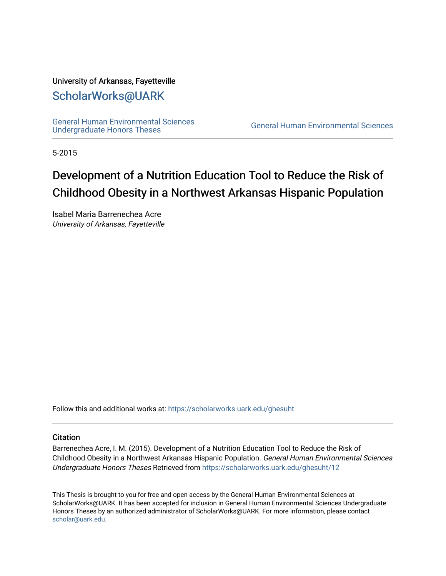#### University of Arkansas, Fayetteville

### [ScholarWorks@UARK](https://scholarworks.uark.edu/)

[General Human Environmental Sciences](https://scholarworks.uark.edu/ghesuht)<br>Undergraduate Honors Theses

General Human Environmental Sciences

5-2015

## Development of a Nutrition Education Tool to Reduce the Risk of Childhood Obesity in a Northwest Arkansas Hispanic Population

Isabel Maria Barrenechea Acre University of Arkansas, Fayetteville

Follow this and additional works at: [https://scholarworks.uark.edu/ghesuht](https://scholarworks.uark.edu/ghesuht?utm_source=scholarworks.uark.edu%2Fghesuht%2F12&utm_medium=PDF&utm_campaign=PDFCoverPages)

#### **Citation**

Barrenechea Acre, I. M. (2015). Development of a Nutrition Education Tool to Reduce the Risk of Childhood Obesity in a Northwest Arkansas Hispanic Population. General Human Environmental Sciences Undergraduate Honors Theses Retrieved from [https://scholarworks.uark.edu/ghesuht/12](https://scholarworks.uark.edu/ghesuht/12?utm_source=scholarworks.uark.edu%2Fghesuht%2F12&utm_medium=PDF&utm_campaign=PDFCoverPages)

This Thesis is brought to you for free and open access by the General Human Environmental Sciences at ScholarWorks@UARK. It has been accepted for inclusion in General Human Environmental Sciences Undergraduate Honors Theses by an authorized administrator of ScholarWorks@UARK. For more information, please contact [scholar@uark.edu](mailto:scholar@uark.edu).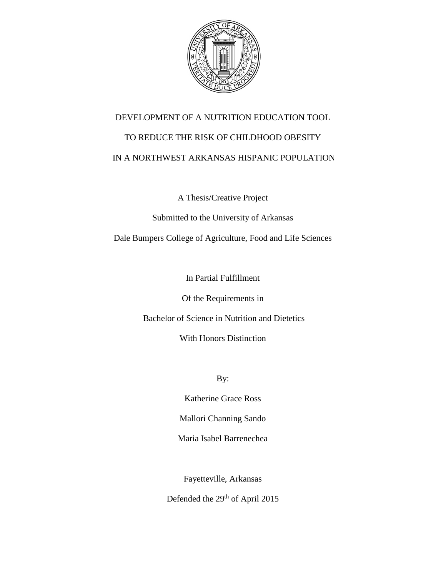

# DEVELOPMENT OF A NUTRITION EDUCATION TOOL TO REDUCE THE RISK OF CHILDHOOD OBESITY IN A NORTHWEST ARKANSAS HISPANIC POPULATION

A Thesis/Creative Project

Submitted to the University of Arkansas

Dale Bumpers College of Agriculture, Food and Life Sciences

In Partial Fulfillment

Of the Requirements in

Bachelor of Science in Nutrition and Dietetics

With Honors Distinction

By:

Katherine Grace Ross

Mallori Channing Sando

Maria Isabel Barrenechea

Fayetteville, Arkansas

Defended the 29<sup>th</sup> of April 2015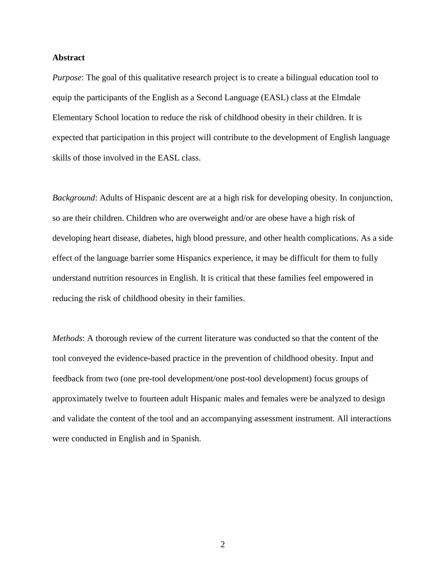#### **Abstract**

*Purpose*: The goal of this qualitative research project is to create a bilingual education tool to equip the participants of the English as a Second Language (EASL) class at the Elmdale Elementary School location to reduce the risk of childhood obesity in their children. It is expected that participation in this project will contribute to the development of English language skills of those involved in the EASL class.

*Background*: Adults of Hispanic descent are at a high risk for developing obesity. In conjunction, so are their children. Children who are overweight and/or are obese have a high risk of developing heart disease, diabetes, high blood pressure, and other health complications. As a side effect of the language barrier some Hispanics experience, it may be difficult for them to fully understand nutrition resources in English. It is critical that these families feel empowered in reducing the risk of childhood obesity in their families.

*Methods*: A thorough review of the current literature was conducted so that the content of the tool conveyed the evidence-based practice in the prevention of childhood obesity. Input and feedback from two (one pre-tool development/one post-tool development) focus groups of approximately twelve to fourteen adult Hispanic males and females were be analyzed to design and validate the content of the tool and an accompanying assessment instrument. All interactions were conducted in English and in Spanish.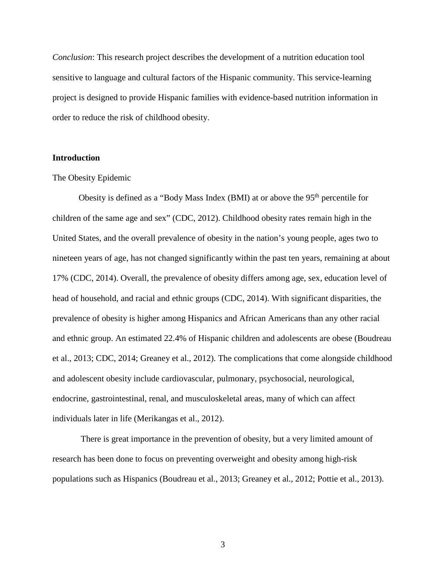*Conclusion*: This research project describes the development of a nutrition education tool sensitive to language and cultural factors of the Hispanic community. This service-learning project is designed to provide Hispanic families with evidence-based nutrition information in order to reduce the risk of childhood obesity.

#### **Introduction**

#### The Obesity Epidemic

Obesity is defined as a "Body Mass Index (BMI) at or above the 95th percentile for children of the same age and sex" (CDC, 2012). Childhood obesity rates remain high in the United States, and the overall prevalence of obesity in the nation's young people, ages two to nineteen years of age, has not changed significantly within the past ten years, remaining at about 17% (CDC, 2014). Overall, the prevalence of obesity differs among age, sex, education level of head of household, and racial and ethnic groups (CDC, 2014). With significant disparities, the prevalence of obesity is higher among Hispanics and African Americans than any other racial and ethnic group. An estimated 22.4% of Hispanic children and adolescents are obese (Boudreau et al., 2013; CDC, 2014; Greaney et al., 2012). The complications that come alongside childhood and adolescent obesity include cardiovascular, pulmonary, psychosocial, neurological, endocrine, gastrointestinal, renal, and musculoskeletal areas, many of which can affect individuals later in life (Merikangas et al., 2012).

There is great importance in the prevention of obesity, but a very limited amount of research has been done to focus on preventing overweight and obesity among high-risk populations such as Hispanics (Boudreau et al., 2013; Greaney et al., 2012; Pottie et al., 2013).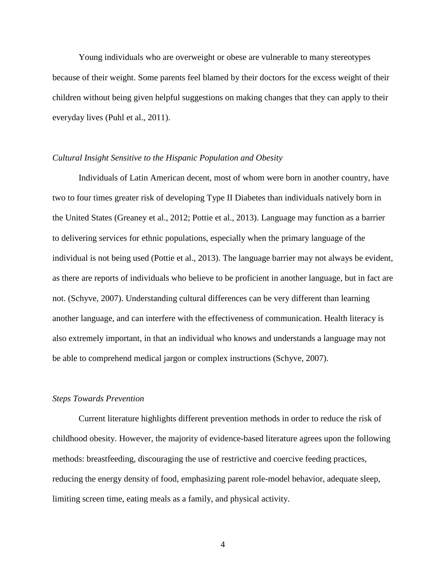Young individuals who are overweight or obese are vulnerable to many stereotypes because of their weight. Some parents feel blamed by their doctors for the excess weight of their children without being given helpful suggestions on making changes that they can apply to their everyday lives (Puhl et al., 2011).

#### *Cultural Insight Sensitive to the Hispanic Population and Obesity*

Individuals of Latin American decent, most of whom were born in another country, have two to four times greater risk of developing Type II Diabetes than individuals natively born in the United States (Greaney et al., 2012; Pottie et al., 2013). Language may function as a barrier to delivering services for ethnic populations, especially when the primary language of the individual is not being used (Pottie et al., 2013). The language barrier may not always be evident, as there are reports of individuals who believe to be proficient in another language, but in fact are not. (Schyve, 2007). Understanding cultural differences can be very different than learning another language, and can interfere with the effectiveness of communication. Health literacy is also extremely important, in that an individual who knows and understands a language may not be able to comprehend medical jargon or complex instructions (Schyve, 2007).

#### *Steps Towards Prevention*

Current literature highlights different prevention methods in order to reduce the risk of childhood obesity. However, the majority of evidence-based literature agrees upon the following methods: breastfeeding, discouraging the use of restrictive and coercive feeding practices, reducing the energy density of food, emphasizing parent role-model behavior, adequate sleep, limiting screen time, eating meals as a family, and physical activity.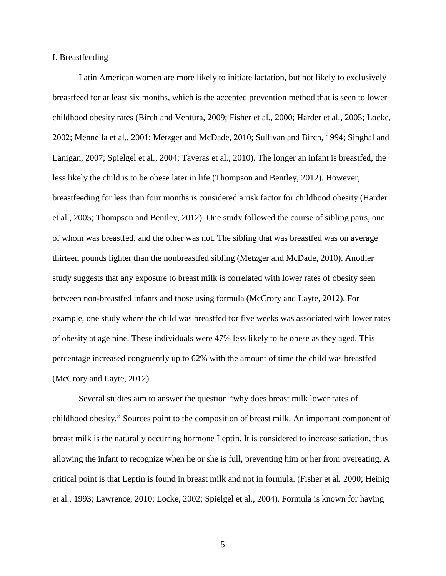#### I. Breastfeeding

Latin American women are more likely to initiate lactation, but not likely to exclusively breastfeed for at least six months, which is the accepted prevention method that is seen to lower childhood obesity rates (Birch and Ventura, 2009; Fisher et al*.*, 2000; Harder et al*.,* 2005; Locke, 2002; Mennella et al., 2001; Metzger and McDade, 2010; Sullivan and Birch, 1994; Singhal and Lanigan, 2007; Spielgel et al*.*, 2004; Taveras et al*.*, 2010). The longer an infant is breastfed, the less likely the child is to be obese later in life (Thompson and Bentley, 2012). However, breastfeeding for less than four months is considered a risk factor for childhood obesity (Harder et al*.*, 2005; Thompson and Bentley, 2012). One study followed the course of sibling pairs, one of whom was breastfed, and the other was not. The sibling that was breastfed was on average thirteen pounds lighter than the nonbreastfed sibling (Metzger and McDade, 2010). Another study suggests that any exposure to breast milk is correlated with lower rates of obesity seen between non-breastfed infants and those using formula (McCrory and Layte, 2012). For example, one study where the child was breastfed for five weeks was associated with lower rates of obesity at age nine. These individuals were 47% less likely to be obese as they aged. This percentage increased congruently up to 62% with the amount of time the child was breastfed (McCrory and Layte, 2012).

Several studies aim to answer the question "why does breast milk lower rates of childhood obesity." Sources point to the composition of breast milk. An important component of breast milk is the naturally occurring hormone Leptin. It is considered to increase satiation, thus allowing the infant to recognize when he or she is full, preventing him or her from overeating. A critical point is that Leptin is found in breast milk and not in formula. (Fisher et al*.* 2000; Heinig et al*.*, 1993; Lawrence, 2010; Locke, 2002; Spielgel et al*.*, 2004). Formula is known for having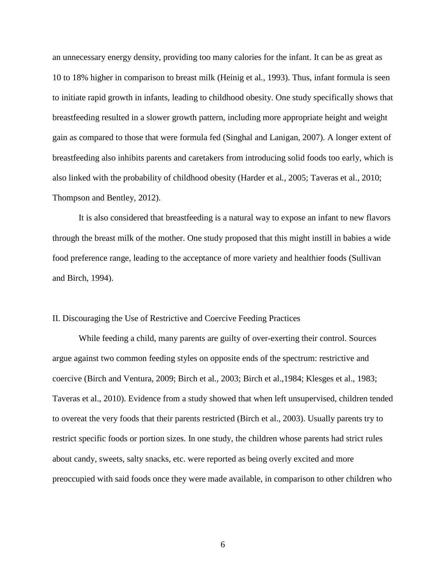an unnecessary energy density, providing too many calories for the infant. It can be as great as 10 to 18% higher in comparison to breast milk (Heinig et al*.*, 1993). Thus, infant formula is seen to initiate rapid growth in infants, leading to childhood obesity. One study specifically shows that breastfeeding resulted in a slower growth pattern, including more appropriate height and weight gain as compared to those that were formula fed (Singhal and Lanigan, 2007). A longer extent of breastfeeding also inhibits parents and caretakers from introducing solid foods too early, which is also linked with the probability of childhood obesity (Harder et al*.*, 2005; Taveras et al., 2010; Thompson and Bentley, 2012).

It is also considered that breastfeeding is a natural way to expose an infant to new flavors through the breast milk of the mother. One study proposed that this might instill in babies a wide food preference range, leading to the acceptance of more variety and healthier foods (Sullivan and Birch, 1994).

#### II. Discouraging the Use of Restrictive and Coercive Feeding Practices

While feeding a child, many parents are guilty of over-exerting their control. Sources argue against two common feeding styles on opposite ends of the spectrum: restrictive and coercive (Birch and Ventura, 2009; Birch et al., 2003; Birch et al.,1984; Klesges et al., 1983; Taveras et al., 2010). Evidence from a study showed that when left unsupervised, children tended to overeat the very foods that their parents restricted (Birch et al., 2003). Usually parents try to restrict specific foods or portion sizes. In one study, the children whose parents had strict rules about candy, sweets, salty snacks, etc. were reported as being overly excited and more preoccupied with said foods once they were made available, in comparison to other children who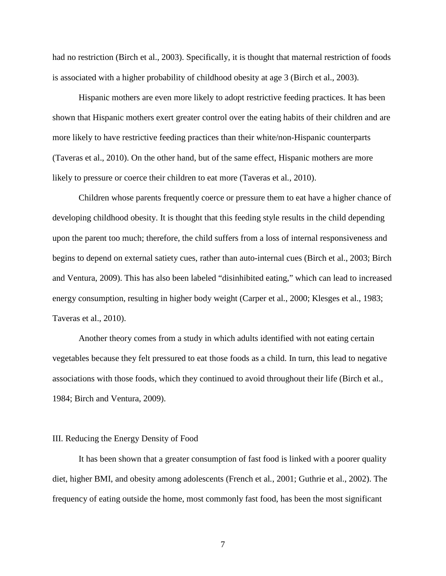had no restriction (Birch et al., 2003). Specifically, it is thought that maternal restriction of foods is associated with a higher probability of childhood obesity at age 3 (Birch et al., 2003).

Hispanic mothers are even more likely to adopt restrictive feeding practices. It has been shown that Hispanic mothers exert greater control over the eating habits of their children and are more likely to have restrictive feeding practices than their white/non-Hispanic counterparts (Taveras et al., 2010). On the other hand, but of the same effect, Hispanic mothers are more likely to pressure or coerce their children to eat more (Taveras et al*.*, 2010).

Children whose parents frequently coerce or pressure them to eat have a higher chance of developing childhood obesity. It is thought that this feeding style results in the child depending upon the parent too much; therefore, the child suffers from a loss of internal responsiveness and begins to depend on external satiety cues, rather than auto-internal cues (Birch et al., 2003; Birch and Ventura, 2009). This has also been labeled "disinhibited eating," which can lead to increased energy consumption, resulting in higher body weight (Carper et al*.*, 2000; Klesges et al., 1983; Taveras et al., 2010).

Another theory comes from a study in which adults identified with not eating certain vegetables because they felt pressured to eat those foods as a child. In turn, this lead to negative associations with those foods, which they continued to avoid throughout their life (Birch et al., 1984; Birch and Ventura, 2009).

#### III. Reducing the Energy Density of Food

It has been shown that a greater consumption of fast food is linked with a poorer quality diet, higher BMI, and obesity among adolescents (French et al*.*, 2001; Guthrie et al., 2002). The frequency of eating outside the home, most commonly fast food, has been the most significant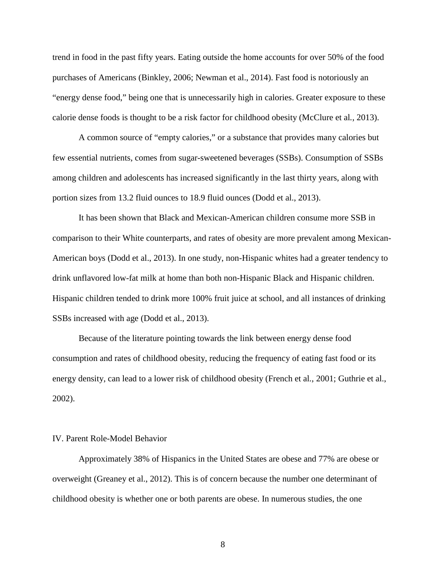trend in food in the past fifty years. Eating outside the home accounts for over 50% of the food purchases of Americans (Binkley, 2006; Newman et al., 2014). Fast food is notoriously an "energy dense food," being one that is unnecessarily high in calories. Greater exposure to these calorie dense foods is thought to be a risk factor for childhood obesity (McClure et al*.*, 2013).

A common source of "empty calories," or a substance that provides many calories but few essential nutrients, comes from sugar-sweetened beverages (SSBs). Consumption of SSBs among children and adolescents has increased significantly in the last thirty years, along with portion sizes from 13.2 fluid ounces to 18.9 fluid ounces (Dodd et al., 2013).

It has been shown that Black and Mexican-American children consume more SSB in comparison to their White counterparts, and rates of obesity are more prevalent among Mexican-American boys (Dodd et al., 2013). In one study, non-Hispanic whites had a greater tendency to drink unflavored low-fat milk at home than both non-Hispanic Black and Hispanic children. Hispanic children tended to drink more 100% fruit juice at school, and all instances of drinking SSBs increased with age (Dodd et al., 2013).

Because of the literature pointing towards the link between energy dense food consumption and rates of childhood obesity, reducing the frequency of eating fast food or its energy density, can lead to a lower risk of childhood obesity (French et al*.*, 2001; Guthrie et al., 2002).

#### IV. Parent Role-Model Behavior

Approximately 38% of Hispanics in the United States are obese and 77% are obese or overweight (Greaney et al., 2012). This is of concern because the number one determinant of childhood obesity is whether one or both parents are obese. In numerous studies, the one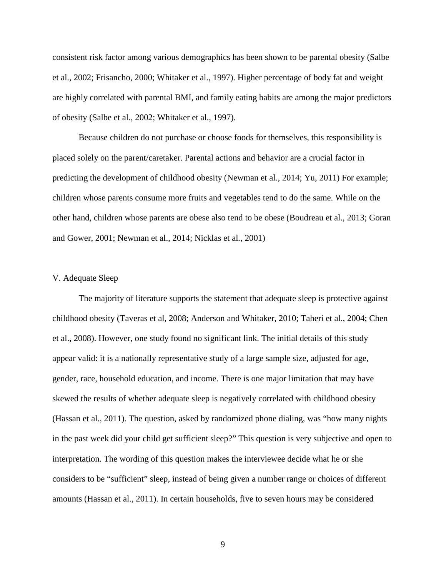consistent risk factor among various demographics has been shown to be parental obesity (Salbe et al*.*, 2002; Frisancho, 2000; Whitaker et al., 1997). Higher percentage of body fat and weight are highly correlated with parental BMI, and family eating habits are among the major predictors of obesity (Salbe et al., 2002; Whitaker et al., 1997).

Because children do not purchase or choose foods for themselves, this responsibility is placed solely on the parent/caretaker. Parental actions and behavior are a crucial factor in predicting the development of childhood obesity (Newman et al., 2014; Yu, 2011) For example; children whose parents consume more fruits and vegetables tend to do the same. While on the other hand, children whose parents are obese also tend to be obese (Boudreau et al., 2013; Goran and Gower, 2001; Newman et al., 2014; Nicklas et al*.*, 2001)

#### V. Adequate Sleep

The majority of literature supports the statement that adequate sleep is protective against childhood obesity (Taveras et al, 2008; Anderson and Whitaker, 2010; Taheri et al., 2004; Chen et al., 2008). However, one study found no significant link. The initial details of this study appear valid: it is a nationally representative study of a large sample size, adjusted for age, gender, race, household education, and income. There is one major limitation that may have skewed the results of whether adequate sleep is negatively correlated with childhood obesity (Hassan et al., 2011). The question, asked by randomized phone dialing, was "how many nights in the past week did your child get sufficient sleep?" This question is very subjective and open to interpretation. The wording of this question makes the interviewee decide what he or she considers to be "sufficient" sleep, instead of being given a number range or choices of different amounts (Hassan et al., 2011). In certain households, five to seven hours may be considered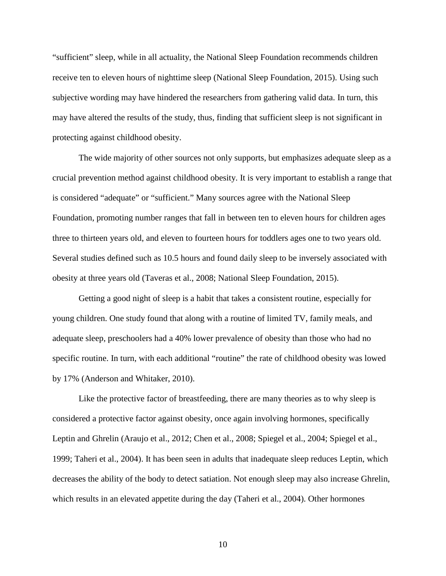"sufficient" sleep, while in all actuality, the National Sleep Foundation recommends children receive ten to eleven hours of nighttime sleep (National Sleep Foundation, 2015). Using such subjective wording may have hindered the researchers from gathering valid data. In turn, this may have altered the results of the study, thus, finding that sufficient sleep is not significant in protecting against childhood obesity.

The wide majority of other sources not only supports, but emphasizes adequate sleep as a crucial prevention method against childhood obesity. It is very important to establish a range that is considered "adequate" or "sufficient." Many sources agree with the National Sleep Foundation, promoting number ranges that fall in between ten to eleven hours for children ages three to thirteen years old, and eleven to fourteen hours for toddlers ages one to two years old. Several studies defined such as 10.5 hours and found daily sleep to be inversely associated with obesity at three years old (Taveras et al., 2008; National Sleep Foundation, 2015).

Getting a good night of sleep is a habit that takes a consistent routine, especially for young children. One study found that along with a routine of limited TV, family meals, and adequate sleep, preschoolers had a 40% lower prevalence of obesity than those who had no specific routine. In turn, with each additional "routine" the rate of childhood obesity was lowed by 17% (Anderson and Whitaker, 2010).

Like the protective factor of breastfeeding, there are many theories as to why sleep is considered a protective factor against obesity, once again involving hormones, specifically Leptin and Ghrelin (Araujo et al., 2012; Chen et al., 2008; Spiegel et al., 2004; Spiegel et al., 1999; Taheri et al., 2004). It has been seen in adults that inadequate sleep reduces Leptin, which decreases the ability of the body to detect satiation. Not enough sleep may also increase Ghrelin, which results in an elevated appetite during the day (Taheri et al., 2004). Other hormones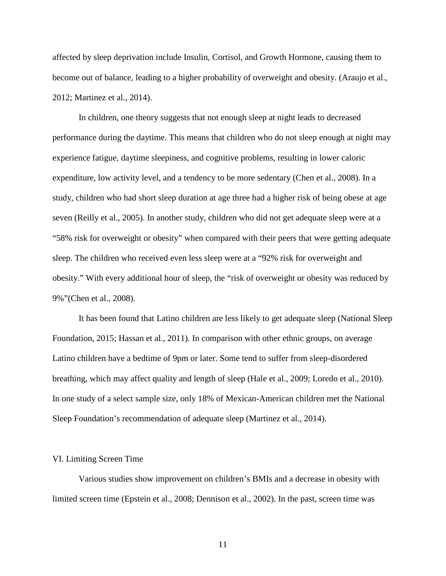affected by sleep deprivation include Insulin, Cortisol, and Growth Hormone, causing them to become out of balance, leading to a higher probability of overweight and obesity. (Araujo et al., 2012; Martinez et al., 2014).

In children, one theory suggests that not enough sleep at night leads to decreased performance during the daytime. This means that children who do not sleep enough at night may experience fatigue, daytime sleepiness, and cognitive problems, resulting in lower caloric expenditure, low activity level, and a tendency to be more sedentary (Chen et al., 2008). In a study, children who had short sleep duration at age three had a higher risk of being obese at age seven (Reilly et al., 2005). In another study, children who did not get adequate sleep were at a "58% risk for overweight or obesity" when compared with their peers that were getting adequate sleep. The children who received even less sleep were at a "92% risk for overweight and obesity." With every additional hour of sleep, the "risk of overweight or obesity was reduced by 9%"(Chen et al., 2008).

It has been found that Latino children are less likely to get adequate sleep (National Sleep Foundation, 2015; Hassan et al., 2011). In comparison with other ethnic groups, on average Latino children have a bedtime of 9pm or later. Some tend to suffer from sleep-disordered breathing, which may affect quality and length of sleep (Hale et al., 2009; Loredo et al., 2010). In one study of a select sample size, only 18% of Mexican-American children met the National Sleep Foundation's recommendation of adequate sleep (Martinez et al., 2014).

#### VI. Limiting Screen Time

Various studies show improvement on children's BMIs and a decrease in obesity with limited screen time (Epstein et al., 2008; Dennison et al., 2002). In the past, screen time was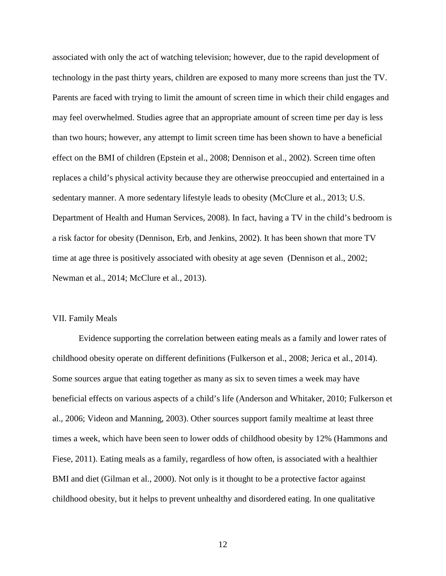associated with only the act of watching television; however, due to the rapid development of technology in the past thirty years, children are exposed to many more screens than just the TV. Parents are faced with trying to limit the amount of screen time in which their child engages and may feel overwhelmed. Studies agree that an appropriate amount of screen time per day is less than two hours; however, any attempt to limit screen time has been shown to have a beneficial effect on the BMI of children (Epstein et al., 2008; Dennison et al., 2002). Screen time often replaces a child's physical activity because they are otherwise preoccupied and entertained in a sedentary manner. A more sedentary lifestyle leads to obesity (McClure et al*.*, 2013; U.S. Department of Health and Human Services, 2008). In fact, having a TV in the child's bedroom is a risk factor for obesity (Dennison, Erb, and Jenkins, 2002). It has been shown that more TV time at age three is positively associated with obesity at age seven (Dennison et al., 2002; Newman et al., 2014; McClure et al*.*, 2013).

#### VII. Family Meals

Evidence supporting the correlation between eating meals as a family and lower rates of childhood obesity operate on different definitions (Fulkerson et al., 2008; Jerica et al., 2014). Some sources argue that eating together as many as six to seven times a week may have beneficial effects on various aspects of a child's life (Anderson and Whitaker, 2010; Fulkerson et al., 2006; Videon and Manning, 2003). Other sources support family mealtime at least three times a week, which have been seen to lower odds of childhood obesity by 12% (Hammons and Fiese, 2011). Eating meals as a family, regardless of how often, is associated with a healthier BMI and diet (Gilman et al., 2000). Not only is it thought to be a protective factor against childhood obesity, but it helps to prevent unhealthy and disordered eating. In one qualitative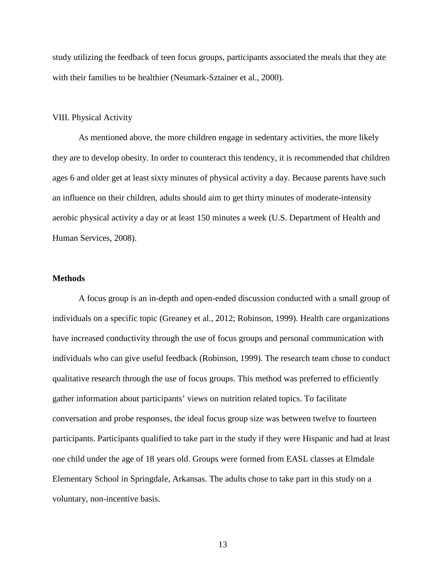study utilizing the feedback of teen focus groups, participants associated the meals that they ate with their families to be healthier (Neumark-Sztainer et al., 2000).

#### VIII. Physical Activity

As mentioned above, the more children engage in sedentary activities, the more likely they are to develop obesity. In order to counteract this tendency, it is recommended that children ages 6 and older get at least sixty minutes of physical activity a day. Because parents have such an influence on their children, adults should aim to get thirty minutes of moderate-intensity aerobic physical activity a day or at least 150 minutes a week (U.S. Department of Health and Human Services, 2008).

#### **Methods**

A focus group is an in-depth and open-ended discussion conducted with a small group of individuals on a specific topic (Greaney et al., 2012; Robinson, 1999). Health care organizations have increased conductivity through the use of focus groups and personal communication with individuals who can give useful feedback (Robinson, 1999). The research team chose to conduct qualitative research through the use of focus groups. This method was preferred to efficiently gather information about participants' views on nutrition related topics. To facilitate conversation and probe responses, the ideal focus group size was between twelve to fourteen participants. Participants qualified to take part in the study if they were Hispanic and had at least one child under the age of 18 years old. Groups were formed from EASL classes at Elmdale Elementary School in Springdale, Arkansas. The adults chose to take part in this study on a voluntary, non-incentive basis.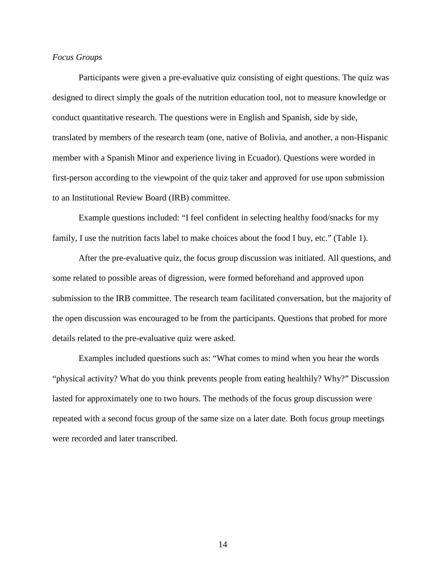#### *Focus Groups*

Participants were given a pre-evaluative quiz consisting of eight questions. The quiz was designed to direct simply the goals of the nutrition education tool, not to measure knowledge or conduct quantitative research. The questions were in English and Spanish, side by side, translated by members of the research team (one, native of Bolivia, and another, a non-Hispanic member with a Spanish Minor and experience living in Ecuador). Questions were worded in first-person according to the viewpoint of the quiz taker and approved for use upon submission to an Institutional Review Board (IRB) committee.

Example questions included: "I feel confident in selecting healthy food/snacks for my family, I use the nutrition facts label to make choices about the food I buy, etc." (Table 1).

After the pre-evaluative quiz, the focus group discussion was initiated. All questions, and some related to possible areas of digression, were formed beforehand and approved upon submission to the IRB committee. The research team facilitated conversation, but the majority of the open discussion was encouraged to be from the participants. Questions that probed for more details related to the pre-evaluative quiz were asked.

Examples included questions such as: "What comes to mind when you hear the words "physical activity? What do you think prevents people from eating healthily? Why?" Discussion lasted for approximately one to two hours. The methods of the focus group discussion were repeated with a second focus group of the same size on a later date. Both focus group meetings were recorded and later transcribed.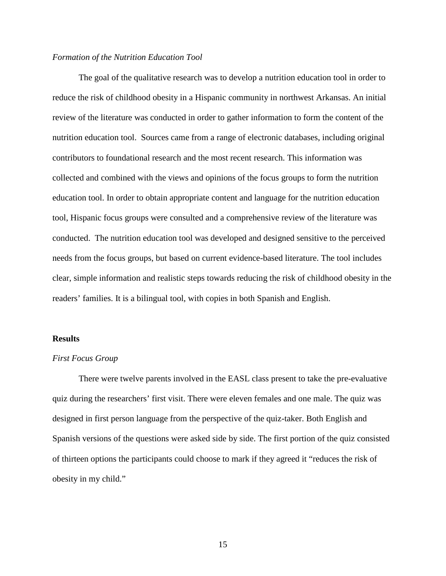#### *Formation of the Nutrition Education Tool*

The goal of the qualitative research was to develop a nutrition education tool in order to reduce the risk of childhood obesity in a Hispanic community in northwest Arkansas. An initial review of the literature was conducted in order to gather information to form the content of the nutrition education tool. Sources came from a range of electronic databases, including original contributors to foundational research and the most recent research. This information was collected and combined with the views and opinions of the focus groups to form the nutrition education tool. In order to obtain appropriate content and language for the nutrition education tool, Hispanic focus groups were consulted and a comprehensive review of the literature was conducted. The nutrition education tool was developed and designed sensitive to the perceived needs from the focus groups, but based on current evidence-based literature. The tool includes clear, simple information and realistic steps towards reducing the risk of childhood obesity in the readers' families. It is a bilingual tool, with copies in both Spanish and English.

#### **Results**

#### *First Focus Group*

There were twelve parents involved in the EASL class present to take the pre-evaluative quiz during the researchers' first visit. There were eleven females and one male. The quiz was designed in first person language from the perspective of the quiz-taker. Both English and Spanish versions of the questions were asked side by side. The first portion of the quiz consisted of thirteen options the participants could choose to mark if they agreed it "reduces the risk of obesity in my child."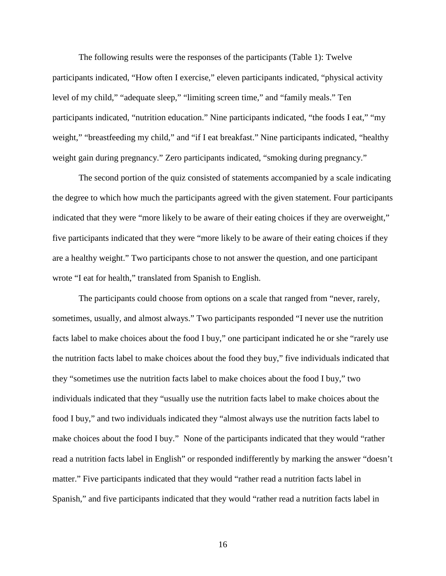The following results were the responses of the participants (Table 1): Twelve participants indicated, "How often I exercise," eleven participants indicated, "physical activity level of my child," "adequate sleep," "limiting screen time," and "family meals." Ten participants indicated, "nutrition education." Nine participants indicated, "the foods I eat," "my weight," "breastfeeding my child," and "if I eat breakfast." Nine participants indicated, "healthy weight gain during pregnancy." Zero participants indicated, "smoking during pregnancy."

The second portion of the quiz consisted of statements accompanied by a scale indicating the degree to which how much the participants agreed with the given statement. Four participants indicated that they were "more likely to be aware of their eating choices if they are overweight," five participants indicated that they were "more likely to be aware of their eating choices if they are a healthy weight." Two participants chose to not answer the question, and one participant wrote "I eat for health," translated from Spanish to English.

The participants could choose from options on a scale that ranged from "never, rarely, sometimes, usually, and almost always." Two participants responded "I never use the nutrition facts label to make choices about the food I buy," one participant indicated he or she "rarely use the nutrition facts label to make choices about the food they buy," five individuals indicated that they "sometimes use the nutrition facts label to make choices about the food I buy," two individuals indicated that they "usually use the nutrition facts label to make choices about the food I buy," and two individuals indicated they "almost always use the nutrition facts label to make choices about the food I buy." None of the participants indicated that they would "rather read a nutrition facts label in English" or responded indifferently by marking the answer "doesn't matter." Five participants indicated that they would "rather read a nutrition facts label in Spanish," and five participants indicated that they would "rather read a nutrition facts label in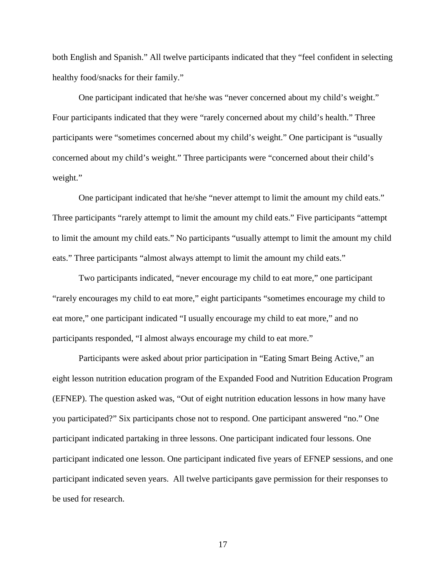both English and Spanish." All twelve participants indicated that they "feel confident in selecting healthy food/snacks for their family."

One participant indicated that he/she was "never concerned about my child's weight." Four participants indicated that they were "rarely concerned about my child's health." Three participants were "sometimes concerned about my child's weight." One participant is "usually concerned about my child's weight." Three participants were "concerned about their child's weight."

One participant indicated that he/she "never attempt to limit the amount my child eats." Three participants "rarely attempt to limit the amount my child eats." Five participants "attempt to limit the amount my child eats." No participants "usually attempt to limit the amount my child eats." Three participants "almost always attempt to limit the amount my child eats."

Two participants indicated, "never encourage my child to eat more," one participant "rarely encourages my child to eat more," eight participants "sometimes encourage my child to eat more," one participant indicated "I usually encourage my child to eat more," and no participants responded, "I almost always encourage my child to eat more."

Participants were asked about prior participation in "Eating Smart Being Active," an eight lesson nutrition education program of the Expanded Food and Nutrition Education Program (EFNEP). The question asked was, "Out of eight nutrition education lessons in how many have you participated?" Six participants chose not to respond. One participant answered "no." One participant indicated partaking in three lessons. One participant indicated four lessons. One participant indicated one lesson. One participant indicated five years of EFNEP sessions, and one participant indicated seven years. All twelve participants gave permission for their responses to be used for research.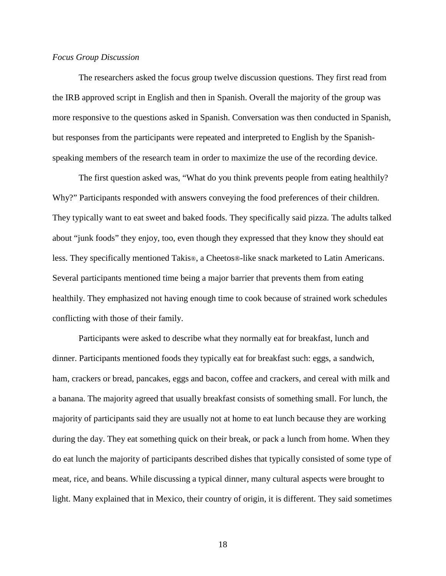#### *Focus Group Discussion*

The researchers asked the focus group twelve discussion questions. They first read from the IRB approved script in English and then in Spanish. Overall the majority of the group was more responsive to the questions asked in Spanish. Conversation was then conducted in Spanish, but responses from the participants were repeated and interpreted to English by the Spanishspeaking members of the research team in order to maximize the use of the recording device.

The first question asked was, "What do you think prevents people from eating healthily? Why?" Participants responded with answers conveying the food preferences of their children. They typically want to eat sweet and baked foods. They specifically said pizza. The adults talked about "junk foods" they enjoy, too, even though they expressed that they know they should eat less. They specifically mentioned Takis®, a Cheetos®-like snack marketed to Latin Americans. Several participants mentioned time being a major barrier that prevents them from eating healthily. They emphasized not having enough time to cook because of strained work schedules conflicting with those of their family.

Participants were asked to describe what they normally eat for breakfast, lunch and dinner. Participants mentioned foods they typically eat for breakfast such: eggs, a sandwich, ham, crackers or bread, pancakes, eggs and bacon, coffee and crackers, and cereal with milk and a banana. The majority agreed that usually breakfast consists of something small. For lunch, the majority of participants said they are usually not at home to eat lunch because they are working during the day. They eat something quick on their break, or pack a lunch from home. When they do eat lunch the majority of participants described dishes that typically consisted of some type of meat, rice, and beans. While discussing a typical dinner, many cultural aspects were brought to light. Many explained that in Mexico, their country of origin, it is different. They said sometimes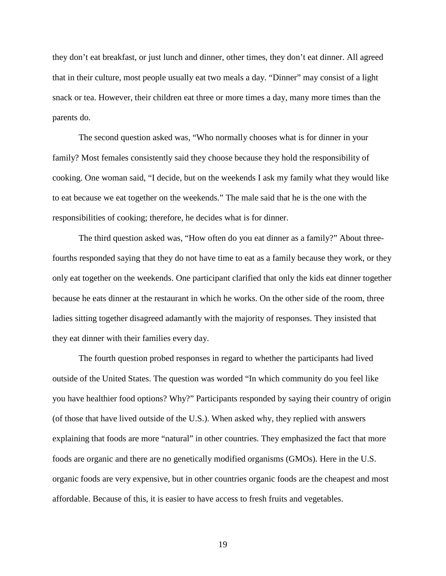they don't eat breakfast, or just lunch and dinner, other times, they don't eat dinner. All agreed that in their culture, most people usually eat two meals a day. "Dinner" may consist of a light snack or tea. However, their children eat three or more times a day, many more times than the parents do.

The second question asked was, "Who normally chooses what is for dinner in your family? Most females consistently said they choose because they hold the responsibility of cooking. One woman said, "I decide, but on the weekends I ask my family what they would like to eat because we eat together on the weekends." The male said that he is the one with the responsibilities of cooking; therefore, he decides what is for dinner.

The third question asked was, "How often do you eat dinner as a family?" About threefourths responded saying that they do not have time to eat as a family because they work, or they only eat together on the weekends. One participant clarified that only the kids eat dinner together because he eats dinner at the restaurant in which he works. On the other side of the room, three ladies sitting together disagreed adamantly with the majority of responses. They insisted that they eat dinner with their families every day.

The fourth question probed responses in regard to whether the participants had lived outside of the United States. The question was worded "In which community do you feel like you have healthier food options? Why?" Participants responded by saying their country of origin (of those that have lived outside of the U.S.). When asked why, they replied with answers explaining that foods are more "natural" in other countries. They emphasized the fact that more foods are organic and there are no genetically modified organisms (GMOs). Here in the U.S. organic foods are very expensive, but in other countries organic foods are the cheapest and most affordable. Because of this, it is easier to have access to fresh fruits and vegetables.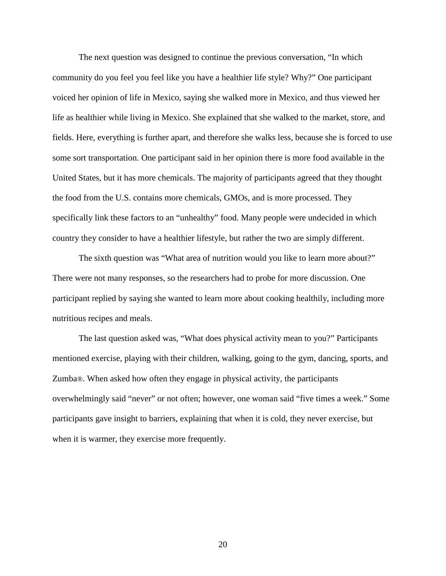The next question was designed to continue the previous conversation, "In which community do you feel you feel like you have a healthier life style? Why?" One participant voiced her opinion of life in Mexico, saying she walked more in Mexico, and thus viewed her life as healthier while living in Mexico. She explained that she walked to the market, store, and fields. Here, everything is further apart, and therefore she walks less, because she is forced to use some sort transportation. One participant said in her opinion there is more food available in the United States, but it has more chemicals. The majority of participants agreed that they thought the food from the U.S. contains more chemicals, GMOs, and is more processed. They specifically link these factors to an "unhealthy" food. Many people were undecided in which country they consider to have a healthier lifestyle, but rather the two are simply different.

The sixth question was "What area of nutrition would you like to learn more about?" There were not many responses, so the researchers had to probe for more discussion. One participant replied by saying she wanted to learn more about cooking healthily, including more nutritious recipes and meals.

The last question asked was, "What does physical activity mean to you?" Participants mentioned exercise, playing with their children, walking, going to the gym, dancing, sports, and Zumba®. When asked how often they engage in physical activity, the participants overwhelmingly said "never" or not often; however, one woman said "five times a week." Some participants gave insight to barriers, explaining that when it is cold, they never exercise, but when it is warmer, they exercise more frequently.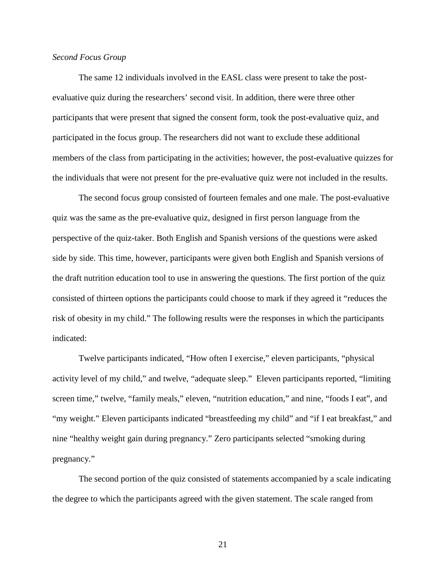#### *Second Focus Group*

The same 12 individuals involved in the EASL class were present to take the postevaluative quiz during the researchers' second visit. In addition, there were three other participants that were present that signed the consent form, took the post-evaluative quiz, and participated in the focus group. The researchers did not want to exclude these additional members of the class from participating in the activities; however, the post-evaluative quizzes for the individuals that were not present for the pre-evaluative quiz were not included in the results.

The second focus group consisted of fourteen females and one male. The post-evaluative quiz was the same as the pre-evaluative quiz, designed in first person language from the perspective of the quiz-taker. Both English and Spanish versions of the questions were asked side by side. This time, however, participants were given both English and Spanish versions of the draft nutrition education tool to use in answering the questions. The first portion of the quiz consisted of thirteen options the participants could choose to mark if they agreed it "reduces the risk of obesity in my child." The following results were the responses in which the participants indicated:

Twelve participants indicated, "How often I exercise," eleven participants, "physical activity level of my child," and twelve, "adequate sleep." Eleven participants reported, "limiting screen time," twelve, "family meals," eleven, "nutrition education," and nine, "foods I eat", and "my weight." Eleven participants indicated "breastfeeding my child" and "if I eat breakfast," and nine "healthy weight gain during pregnancy." Zero participants selected "smoking during pregnancy."

The second portion of the quiz consisted of statements accompanied by a scale indicating the degree to which the participants agreed with the given statement. The scale ranged from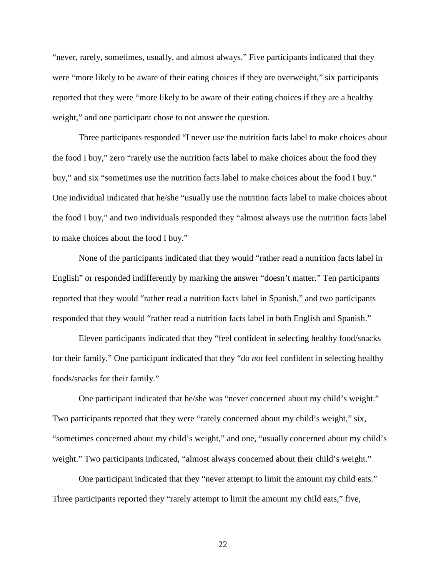"never, rarely, sometimes, usually, and almost always." Five participants indicated that they were "more likely to be aware of their eating choices if they are overweight," six participants reported that they were "more likely to be aware of their eating choices if they are a healthy weight," and one participant chose to not answer the question.

Three participants responded "I never use the nutrition facts label to make choices about the food I buy," zero "rarely use the nutrition facts label to make choices about the food they buy," and six "sometimes use the nutrition facts label to make choices about the food I buy." One individual indicated that he/she "usually use the nutrition facts label to make choices about the food I buy," and two individuals responded they "almost always use the nutrition facts label to make choices about the food I buy."

None of the participants indicated that they would "rather read a nutrition facts label in English" or responded indifferently by marking the answer "doesn't matter." Ten participants reported that they would "rather read a nutrition facts label in Spanish," and two participants responded that they would "rather read a nutrition facts label in both English and Spanish."

Eleven participants indicated that they "feel confident in selecting healthy food/snacks for their family." One participant indicated that they "do *not* feel confident in selecting healthy foods/snacks for their family."

One participant indicated that he/she was "never concerned about my child's weight." Two participants reported that they were "rarely concerned about my child's weight," six, "sometimes concerned about my child's weight," and one, "usually concerned about my child's weight." Two participants indicated, "almost always concerned about their child's weight."

One participant indicated that they "never attempt to limit the amount my child eats." Three participants reported they "rarely attempt to limit the amount my child eats," five,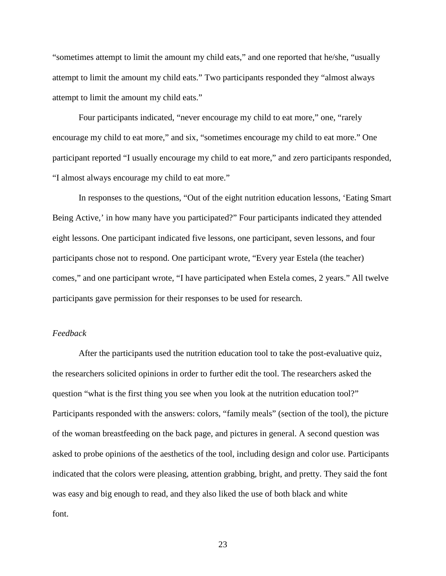"sometimes attempt to limit the amount my child eats," and one reported that he/she, "usually attempt to limit the amount my child eats." Two participants responded they "almost always attempt to limit the amount my child eats."

Four participants indicated, "never encourage my child to eat more," one, "rarely encourage my child to eat more," and six, "sometimes encourage my child to eat more." One participant reported "I usually encourage my child to eat more," and zero participants responded, "I almost always encourage my child to eat more."

In responses to the questions, "Out of the eight nutrition education lessons, 'Eating Smart Being Active,' in how many have you participated?" Four participants indicated they attended eight lessons. One participant indicated five lessons, one participant, seven lessons, and four participants chose not to respond. One participant wrote, "Every year Estela (the teacher) comes," and one participant wrote, "I have participated when Estela comes, 2 years." All twelve participants gave permission for their responses to be used for research.

#### *Feedback*

After the participants used the nutrition education tool to take the post-evaluative quiz, the researchers solicited opinions in order to further edit the tool. The researchers asked the question "what is the first thing you see when you look at the nutrition education tool?" Participants responded with the answers: colors, "family meals" (section of the tool), the picture of the woman breastfeeding on the back page, and pictures in general. A second question was asked to probe opinions of the aesthetics of the tool, including design and color use. Participants indicated that the colors were pleasing, attention grabbing, bright, and pretty. They said the font was easy and big enough to read, and they also liked the use of both black and white font.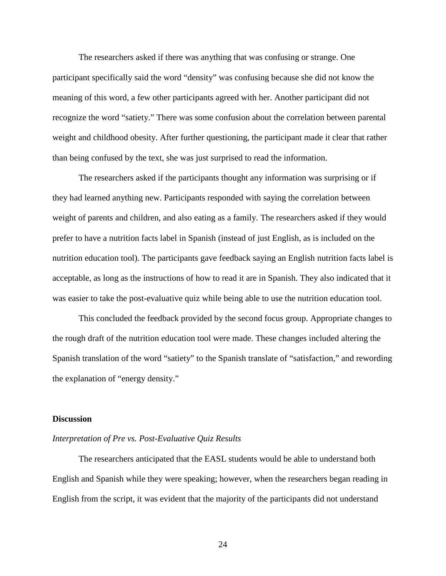The researchers asked if there was anything that was confusing or strange. One participant specifically said the word "density" was confusing because she did not know the meaning of this word, a few other participants agreed with her. Another participant did not recognize the word "satiety." There was some confusion about the correlation between parental weight and childhood obesity. After further questioning, the participant made it clear that rather than being confused by the text, she was just surprised to read the information.

The researchers asked if the participants thought any information was surprising or if they had learned anything new. Participants responded with saying the correlation between weight of parents and children, and also eating as a family. The researchers asked if they would prefer to have a nutrition facts label in Spanish (instead of just English, as is included on the nutrition education tool). The participants gave feedback saying an English nutrition facts label is acceptable, as long as the instructions of how to read it are in Spanish. They also indicated that it was easier to take the post-evaluative quiz while being able to use the nutrition education tool.

This concluded the feedback provided by the second focus group. Appropriate changes to the rough draft of the nutrition education tool were made. These changes included altering the Spanish translation of the word "satiety" to the Spanish translate of "satisfaction," and rewording the explanation of "energy density."

#### **Discussion**

#### *Interpretation of Pre vs. Post-Evaluative Quiz Results*

The researchers anticipated that the EASL students would be able to understand both English and Spanish while they were speaking; however, when the researchers began reading in English from the script, it was evident that the majority of the participants did not understand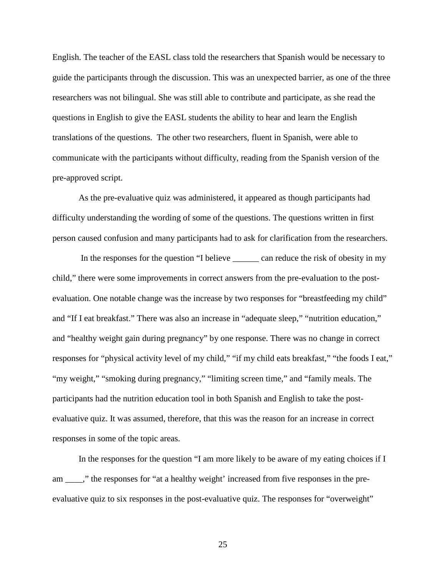English. The teacher of the EASL class told the researchers that Spanish would be necessary to guide the participants through the discussion. This was an unexpected barrier, as one of the three researchers was not bilingual. She was still able to contribute and participate, as she read the questions in English to give the EASL students the ability to hear and learn the English translations of the questions. The other two researchers, fluent in Spanish, were able to communicate with the participants without difficulty, reading from the Spanish version of the pre-approved script.

As the pre-evaluative quiz was administered, it appeared as though participants had difficulty understanding the wording of some of the questions. The questions written in first person caused confusion and many participants had to ask for clarification from the researchers.

In the responses for the question "I believe can reduce the risk of obesity in my child," there were some improvements in correct answers from the pre-evaluation to the postevaluation. One notable change was the increase by two responses for "breastfeeding my child" and "If I eat breakfast." There was also an increase in "adequate sleep," "nutrition education," and "healthy weight gain during pregnancy" by one response. There was no change in correct responses for "physical activity level of my child," "if my child eats breakfast," "the foods I eat," "my weight," "smoking during pregnancy," "limiting screen time," and "family meals. The participants had the nutrition education tool in both Spanish and English to take the postevaluative quiz. It was assumed, therefore, that this was the reason for an increase in correct responses in some of the topic areas.

In the responses for the question "I am more likely to be aware of my eating choices if I am \_\_\_\_," the responses for "at a healthy weight' increased from five responses in the preevaluative quiz to six responses in the post-evaluative quiz. The responses for "overweight"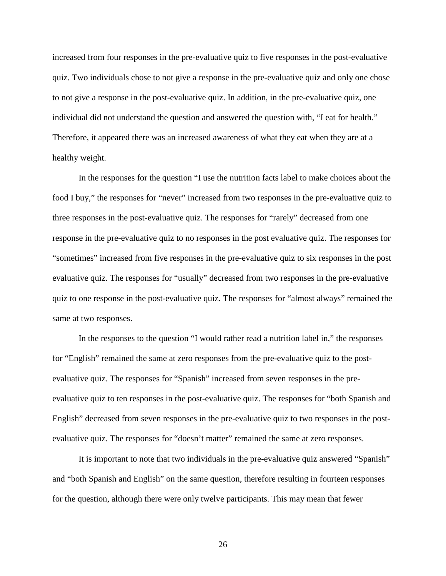increased from four responses in the pre-evaluative quiz to five responses in the post-evaluative quiz. Two individuals chose to not give a response in the pre-evaluative quiz and only one chose to not give a response in the post-evaluative quiz. In addition, in the pre-evaluative quiz, one individual did not understand the question and answered the question with, "I eat for health." Therefore, it appeared there was an increased awareness of what they eat when they are at a healthy weight.

In the responses for the question "I use the nutrition facts label to make choices about the food I buy," the responses for "never" increased from two responses in the pre-evaluative quiz to three responses in the post-evaluative quiz. The responses for "rarely" decreased from one response in the pre-evaluative quiz to no responses in the post evaluative quiz. The responses for "sometimes" increased from five responses in the pre-evaluative quiz to six responses in the post evaluative quiz. The responses for "usually" decreased from two responses in the pre-evaluative quiz to one response in the post-evaluative quiz. The responses for "almost always" remained the same at two responses.

In the responses to the question "I would rather read a nutrition label in," the responses for "English" remained the same at zero responses from the pre-evaluative quiz to the postevaluative quiz. The responses for "Spanish" increased from seven responses in the preevaluative quiz to ten responses in the post-evaluative quiz. The responses for "both Spanish and English" decreased from seven responses in the pre-evaluative quiz to two responses in the postevaluative quiz. The responses for "doesn't matter" remained the same at zero responses.

It is important to note that two individuals in the pre-evaluative quiz answered "Spanish" and "both Spanish and English" on the same question, therefore resulting in fourteen responses for the question, although there were only twelve participants. This may mean that fewer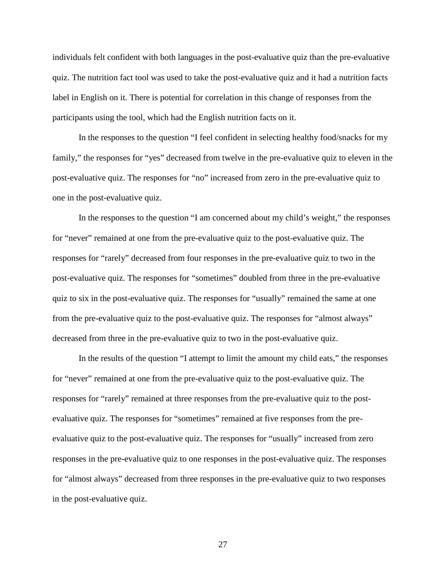individuals felt confident with both languages in the post-evaluative quiz than the pre-evaluative quiz. The nutrition fact tool was used to take the post-evaluative quiz and it had a nutrition facts label in English on it. There is potential for correlation in this change of responses from the participants using the tool, which had the English nutrition facts on it.

In the responses to the question "I feel confident in selecting healthy food/snacks for my family," the responses for "yes" decreased from twelve in the pre-evaluative quiz to eleven in the post-evaluative quiz. The responses for "no" increased from zero in the pre-evaluative quiz to one in the post-evaluative quiz.

In the responses to the question "I am concerned about my child's weight," the responses for "never" remained at one from the pre-evaluative quiz to the post-evaluative quiz. The responses for "rarely" decreased from four responses in the pre-evaluative quiz to two in the post-evaluative quiz. The responses for "sometimes" doubled from three in the pre-evaluative quiz to six in the post-evaluative quiz. The responses for "usually" remained the same at one from the pre-evaluative quiz to the post-evaluative quiz. The responses for "almost always" decreased from three in the pre-evaluative quiz to two in the post-evaluative quiz.

In the results of the question "I attempt to limit the amount my child eats," the responses for "never" remained at one from the pre-evaluative quiz to the post-evaluative quiz. The responses for "rarely" remained at three responses from the pre-evaluative quiz to the postevaluative quiz. The responses for "sometimes" remained at five responses from the preevaluative quiz to the post-evaluative quiz. The responses for "usually" increased from zero responses in the pre-evaluative quiz to one responses in the post-evaluative quiz. The responses for "almost always" decreased from three responses in the pre-evaluative quiz to two responses in the post-evaluative quiz.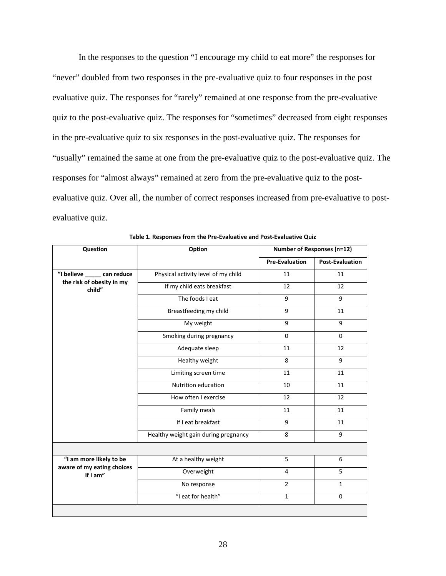In the responses to the question "I encourage my child to eat more" the responses for "never" doubled from two responses in the pre-evaluative quiz to four responses in the post evaluative quiz. The responses for "rarely" remained at one response from the pre-evaluative quiz to the post-evaluative quiz. The responses for "sometimes" decreased from eight responses in the pre-evaluative quiz to six responses in the post-evaluative quiz. The responses for "usually" remained the same at one from the pre-evaluative quiz to the post-evaluative quiz. The responses for "almost always" remained at zero from the pre-evaluative quiz to the postevaluative quiz. Over all, the number of correct responses increased from pre-evaluative to postevaluative quiz.

| Question                                                            | Option                               | <b>Number of Responses (n=12)</b> |                        |
|---------------------------------------------------------------------|--------------------------------------|-----------------------------------|------------------------|
|                                                                     |                                      | <b>Pre-Evaluation</b>             | <b>Post-Evaluation</b> |
| "I believe ______ can reduce<br>the risk of obesity in my<br>child" | Physical activity level of my child  | 11                                | 11                     |
|                                                                     | If my child eats breakfast           | 12                                | 12                     |
|                                                                     | The foods I eat                      | 9                                 | 9                      |
|                                                                     | Breastfeeding my child               | 9                                 | 11                     |
|                                                                     | My weight                            | 9                                 | 9                      |
|                                                                     | Smoking during pregnancy             | $\Omega$                          | $\Omega$               |
|                                                                     | Adequate sleep                       | 11                                | 12                     |
|                                                                     | Healthy weight                       | 8                                 | 9                      |
|                                                                     | Limiting screen time                 | 11                                | 11                     |
|                                                                     | Nutrition education                  | 10                                | 11                     |
|                                                                     | How often I exercise                 | 12                                | 12                     |
|                                                                     | Family meals                         | 11                                | 11                     |
|                                                                     | If I eat breakfast                   | 9                                 | 11                     |
|                                                                     | Healthy weight gain during pregnancy | 8                                 | 9                      |
|                                                                     |                                      |                                   |                        |
| "I am more likely to be<br>aware of my eating choices<br>if I am"   | At a healthy weight                  | 5                                 | 6                      |
|                                                                     | Overweight                           | $\overline{4}$                    | 5                      |
|                                                                     | No response                          | $\overline{2}$                    | $\mathbf{1}$           |
|                                                                     | "I eat for health"                   | $\mathbf{1}$                      | 0                      |
|                                                                     |                                      |                                   |                        |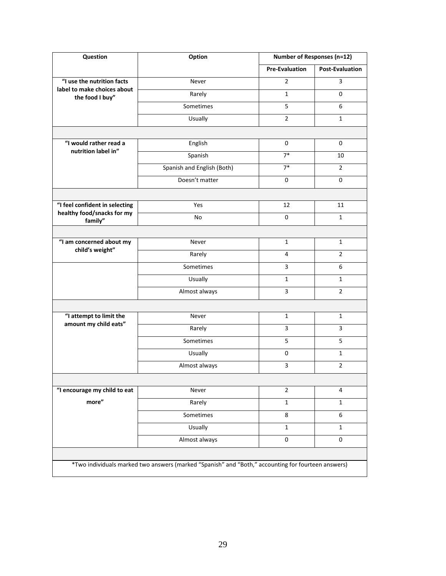| <b>Question</b>                                  | Option                                                                                             | <b>Number of Responses (n=12)</b> |                        |
|--------------------------------------------------|----------------------------------------------------------------------------------------------------|-----------------------------------|------------------------|
|                                                  |                                                                                                    | <b>Pre-Evaluation</b>             | <b>Post-Evaluation</b> |
| "I use the nutrition facts                       | Never                                                                                              | $\overline{2}$                    | 3                      |
| label to make choices about<br>the food I buy"   | Rarely                                                                                             | $\mathbf{1}$                      | 0                      |
|                                                  | Sometimes                                                                                          | 5                                 | 6                      |
|                                                  | <b>Usually</b>                                                                                     | $\overline{2}$                    | $\mathbf{1}$           |
|                                                  |                                                                                                    |                                   |                        |
| "I would rather read a<br>nutrition label in"    | English                                                                                            | 0                                 | 0                      |
|                                                  | Spanish                                                                                            | $7*$                              | 10                     |
|                                                  | Spanish and English (Both)                                                                         | $7*$                              | $\overline{2}$         |
|                                                  | Doesn't matter                                                                                     | $\mathbf 0$                       | 0                      |
|                                                  |                                                                                                    |                                   |                        |
| "I feel confident in selecting                   | Yes                                                                                                | 12                                | 11                     |
| healthy food/snacks for my<br>family"            | No                                                                                                 | $\mathbf 0$                       | $\mathbf{1}$           |
|                                                  |                                                                                                    |                                   |                        |
| "I am concerned about my                         | Never                                                                                              | $\mathbf{1}$                      | $\mathbf{1}$           |
| child's weight"                                  | Rarely                                                                                             | 4                                 | $\overline{2}$         |
|                                                  | Sometimes                                                                                          | $\overline{3}$                    | 6                      |
|                                                  | <b>Usually</b>                                                                                     | $\mathbf{1}$                      | 1                      |
|                                                  | Almost always                                                                                      | 3                                 | $\overline{2}$         |
|                                                  |                                                                                                    |                                   |                        |
| "I attempt to limit the<br>amount my child eats" | Never                                                                                              | 1                                 | 1                      |
|                                                  | Rarely                                                                                             | 3                                 | 3                      |
|                                                  | Sometimes                                                                                          | 5                                 | 5                      |
|                                                  | <b>Usually</b>                                                                                     | 0                                 | 1                      |
|                                                  | Almost always                                                                                      | 3                                 | $\overline{2}$         |
|                                                  |                                                                                                    |                                   |                        |
| "I encourage my child to eat                     | Never                                                                                              | $\overline{2}$                    | 4                      |
| more"                                            | Rarely                                                                                             | $\mathbf{1}$                      | $\mathbf{1}$           |
|                                                  | Sometimes                                                                                          | 8                                 | 6                      |
|                                                  | Usually                                                                                            | $\mathbf{1}$                      | $\mathbf{1}$           |
|                                                  | Almost always                                                                                      | $\pmb{0}$                         | $\mathbf 0$            |
|                                                  |                                                                                                    |                                   |                        |
|                                                  | *Two individuals marked two answers (marked "Spanish" and "Both," accounting for fourteen answers) |                                   |                        |
|                                                  |                                                                                                    |                                   |                        |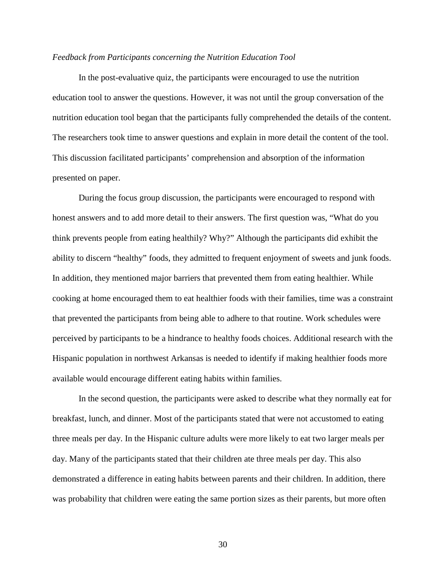#### *Feedback from Participants concerning the Nutrition Education Tool*

In the post-evaluative quiz, the participants were encouraged to use the nutrition education tool to answer the questions. However, it was not until the group conversation of the nutrition education tool began that the participants fully comprehended the details of the content. The researchers took time to answer questions and explain in more detail the content of the tool. This discussion facilitated participants' comprehension and absorption of the information presented on paper.

During the focus group discussion, the participants were encouraged to respond with honest answers and to add more detail to their answers. The first question was, "What do you think prevents people from eating healthily? Why?" Although the participants did exhibit the ability to discern "healthy" foods, they admitted to frequent enjoyment of sweets and junk foods. In addition, they mentioned major barriers that prevented them from eating healthier. While cooking at home encouraged them to eat healthier foods with their families, time was a constraint that prevented the participants from being able to adhere to that routine. Work schedules were perceived by participants to be a hindrance to healthy foods choices. Additional research with the Hispanic population in northwest Arkansas is needed to identify if making healthier foods more available would encourage different eating habits within families.

In the second question, the participants were asked to describe what they normally eat for breakfast, lunch, and dinner. Most of the participants stated that were not accustomed to eating three meals per day. In the Hispanic culture adults were more likely to eat two larger meals per day. Many of the participants stated that their children ate three meals per day. This also demonstrated a difference in eating habits between parents and their children. In addition, there was probability that children were eating the same portion sizes as their parents, but more often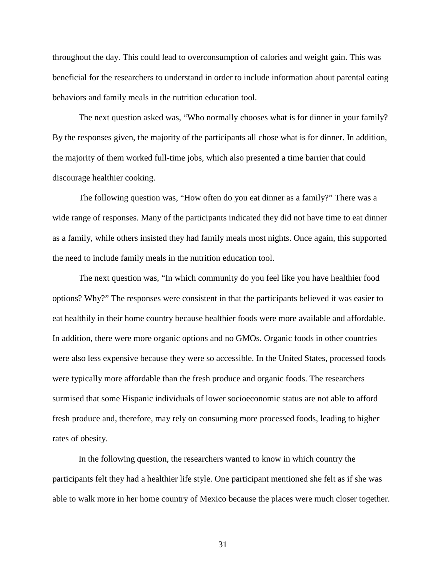throughout the day. This could lead to overconsumption of calories and weight gain. This was beneficial for the researchers to understand in order to include information about parental eating behaviors and family meals in the nutrition education tool.

The next question asked was, "Who normally chooses what is for dinner in your family? By the responses given, the majority of the participants all chose what is for dinner. In addition, the majority of them worked full-time jobs, which also presented a time barrier that could discourage healthier cooking.

The following question was, "How often do you eat dinner as a family?" There was a wide range of responses. Many of the participants indicated they did not have time to eat dinner as a family, while others insisted they had family meals most nights. Once again, this supported the need to include family meals in the nutrition education tool.

The next question was, "In which community do you feel like you have healthier food options? Why?" The responses were consistent in that the participants believed it was easier to eat healthily in their home country because healthier foods were more available and affordable. In addition, there were more organic options and no GMOs. Organic foods in other countries were also less expensive because they were so accessible. In the United States, processed foods were typically more affordable than the fresh produce and organic foods. The researchers surmised that some Hispanic individuals of lower socioeconomic status are not able to afford fresh produce and, therefore, may rely on consuming more processed foods, leading to higher rates of obesity.

In the following question, the researchers wanted to know in which country the participants felt they had a healthier life style. One participant mentioned she felt as if she was able to walk more in her home country of Mexico because the places were much closer together.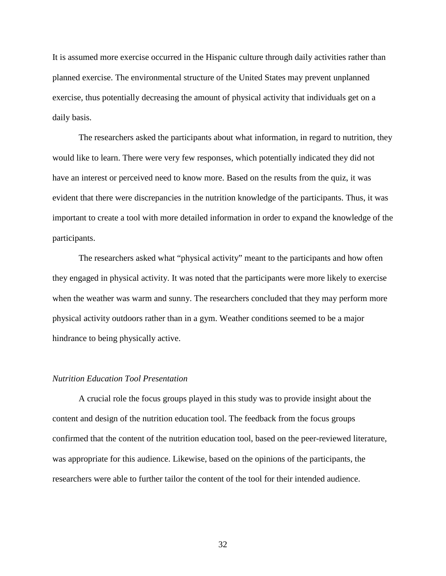It is assumed more exercise occurred in the Hispanic culture through daily activities rather than planned exercise. The environmental structure of the United States may prevent unplanned exercise, thus potentially decreasing the amount of physical activity that individuals get on a daily basis.

The researchers asked the participants about what information, in regard to nutrition, they would like to learn. There were very few responses, which potentially indicated they did not have an interest or perceived need to know more. Based on the results from the quiz, it was evident that there were discrepancies in the nutrition knowledge of the participants. Thus, it was important to create a tool with more detailed information in order to expand the knowledge of the participants.

The researchers asked what "physical activity" meant to the participants and how often they engaged in physical activity. It was noted that the participants were more likely to exercise when the weather was warm and sunny. The researchers concluded that they may perform more physical activity outdoors rather than in a gym. Weather conditions seemed to be a major hindrance to being physically active.

#### *Nutrition Education Tool Presentation*

A crucial role the focus groups played in this study was to provide insight about the content and design of the nutrition education tool. The feedback from the focus groups confirmed that the content of the nutrition education tool, based on the peer-reviewed literature, was appropriate for this audience. Likewise, based on the opinions of the participants, the researchers were able to further tailor the content of the tool for their intended audience.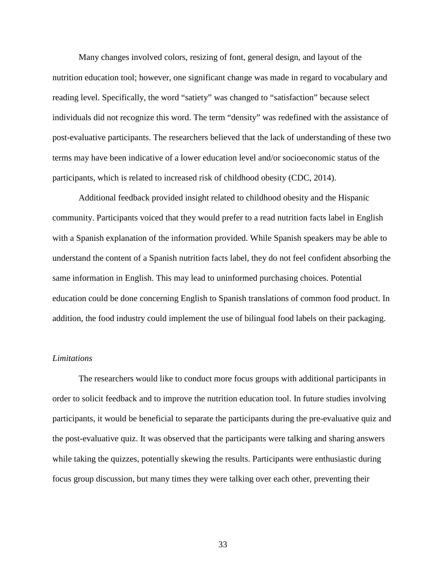Many changes involved colors, resizing of font, general design, and layout of the nutrition education tool; however, one significant change was made in regard to vocabulary and reading level. Specifically, the word "satiety" was changed to "satisfaction" because select individuals did not recognize this word. The term "density" was redefined with the assistance of post-evaluative participants. The researchers believed that the lack of understanding of these two terms may have been indicative of a lower education level and/or socioeconomic status of the participants, which is related to increased risk of childhood obesity (CDC, 2014).

Additional feedback provided insight related to childhood obesity and the Hispanic community. Participants voiced that they would prefer to a read nutrition facts label in English with a Spanish explanation of the information provided. While Spanish speakers may be able to understand the content of a Spanish nutrition facts label, they do not feel confident absorbing the same information in English. This may lead to uninformed purchasing choices. Potential education could be done concerning English to Spanish translations of common food product. In addition, the food industry could implement the use of bilingual food labels on their packaging.

#### *Limitations*

The researchers would like to conduct more focus groups with additional participants in order to solicit feedback and to improve the nutrition education tool. In future studies involving participants, it would be beneficial to separate the participants during the pre-evaluative quiz and the post-evaluative quiz. It was observed that the participants were talking and sharing answers while taking the quizzes, potentially skewing the results. Participants were enthusiastic during focus group discussion, but many times they were talking over each other, preventing their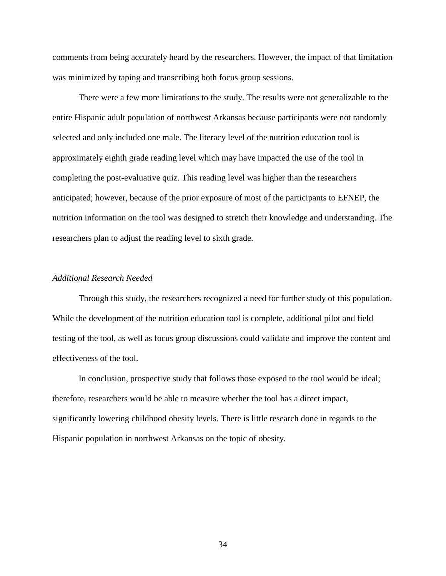comments from being accurately heard by the researchers. However, the impact of that limitation was minimized by taping and transcribing both focus group sessions.

There were a few more limitations to the study. The results were not generalizable to the entire Hispanic adult population of northwest Arkansas because participants were not randomly selected and only included one male. The literacy level of the nutrition education tool is approximately eighth grade reading level which may have impacted the use of the tool in completing the post-evaluative quiz. This reading level was higher than the researchers anticipated; however, because of the prior exposure of most of the participants to EFNEP, the nutrition information on the tool was designed to stretch their knowledge and understanding. The researchers plan to adjust the reading level to sixth grade.

#### *Additional Research Needed*

Through this study, the researchers recognized a need for further study of this population. While the development of the nutrition education tool is complete, additional pilot and field testing of the tool, as well as focus group discussions could validate and improve the content and effectiveness of the tool.

In conclusion, prospective study that follows those exposed to the tool would be ideal; therefore, researchers would be able to measure whether the tool has a direct impact, significantly lowering childhood obesity levels. There is little research done in regards to the Hispanic population in northwest Arkansas on the topic of obesity.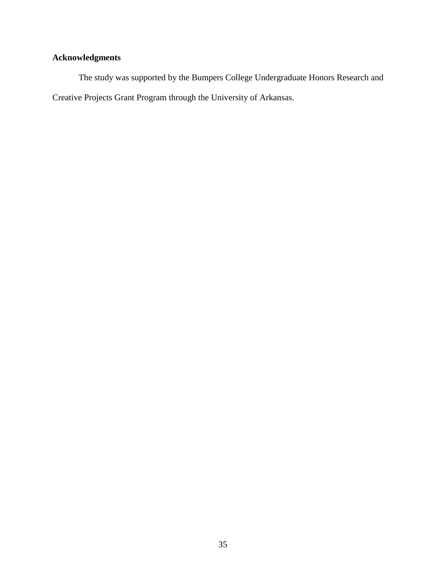## **Acknowledgments**

The study was supported by the Bumpers College Undergraduate Honors Research and Creative Projects Grant Program through the University of Arkansas.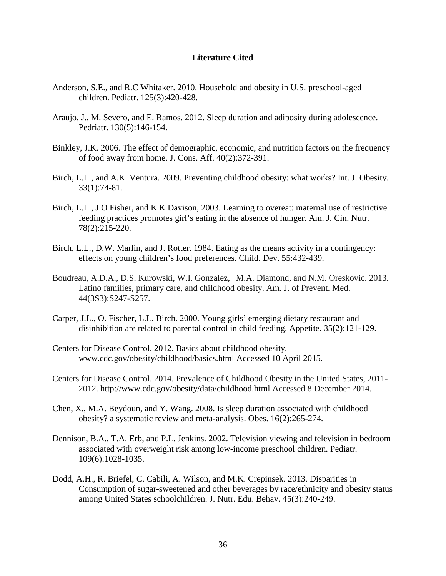#### **Literature Cited**

- Anderson, S.E., and R.C Whitaker. 2010. Household and obesity in U.S. preschool-aged children. Pediatr. 125(3):420-428.
- Araujo, J., M. Severo, and E. Ramos. 2012. Sleep duration and adiposity during adolescence. Pedriatr. 130(5):146-154.
- Binkley, J.K. 2006. The effect of demographic, economic, and nutrition factors on the frequency of food away from home. J. Cons. Aff. 40(2):372-391.
- Birch, L.L., and A.K. Ventura. 2009. Preventing childhood obesity: what works? Int. J. Obesity. 33(1):74-81.
- Birch, L.L., J.O Fisher, and K.K Davison, 2003. Learning to overeat: maternal use of restrictive feeding practices promotes girl's eating in the absence of hunger. Am. J. Cin. Nutr. 78(2):215-220.
- Birch, L.L., D.W. Marlin, and J. Rotter. 1984. Eating as the means activity in a contingency: effects on young children's food preferences. Child. Dev. 55:432-439.
- Boudreau, A.D.A., D.S. Kurowski, W.I. Gonzalez, M.A. Diamond, and N.M. Oreskovic. 2013. Latino families, primary care, and childhood obesity. Am. J. of Prevent. Med. 44(3S3):S247-S257.
- Carper, J.L., O. Fischer, L.L. Birch. 2000. Young girls' emerging dietary restaurant and disinhibition are related to parental control in child feeding. Appetite. 35(2):121-129.
- Centers for Disease Control. 2012. Basics about childhood obesity. www.cdc.gov/obesity/childhood/basics.html Accessed 10 April 2015.
- Centers for Disease Control. 2014. Prevalence of Childhood Obesity in the United States, 2011- 2012. http://www.cdc.gov/obesity/data/childhood.html Accessed 8 December 2014.
- Chen, X., M.A. Beydoun, and Y. Wang. 2008. Is sleep duration associated with childhood obesity? a systematic review and meta-analysis. Obes. 16(2):265-274.
- Dennison, B.A., T.A. Erb, and P.L. Jenkins. 2002. Television viewing and television in bedroom associated with overweight risk among low-income preschool children. Pediatr. 109(6):1028-1035.
- Dodd, A.H., R. Briefel, C. Cabili, A. Wilson, and M.K. Crepinsek. 2013. Disparities in Consumption of sugar-sweetened and other beverages by race/ethnicity and obesity status among United States schoolchildren. J. Nutr. Edu. Behav. 45(3):240-249.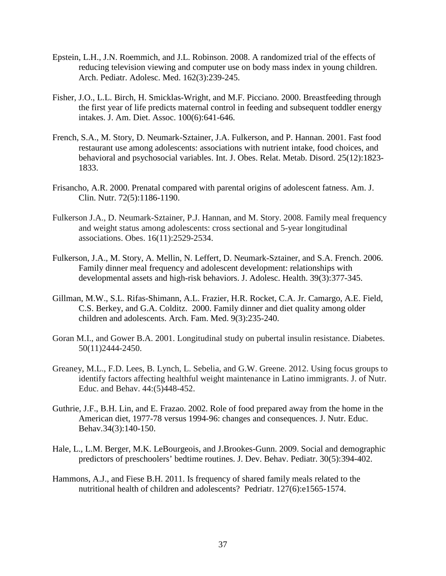- Epstein, L.H., J.N. Roemmich, and J.L. Robinson. 2008. A randomized trial of the effects of reducing television viewing and computer use on body mass index in young children. Arch. Pediatr. Adolesc. Med. 162(3):239-245.
- Fisher, J.O., L.L. Birch, H. Smicklas-Wright, and M.F. Picciano. 2000. Breastfeeding through the first year of life predicts maternal control in feeding and subsequent toddler energy intakes. J. Am. Diet. Assoc. 100(6):641-646.
- French, S.A., M. Story, D. Neumark-Sztainer, J.A. Fulkerson, and P. Hannan. 2001. Fast food restaurant use among adolescents: associations with nutrient intake, food choices, and behavioral and psychosocial variables. Int. J. Obes. Relat. Metab. Disord. 25(12):1823- 1833.
- Frisancho, A.R. 2000. Prenatal compared with parental origins of adolescent fatness. Am. J. Clin. Nutr. 72(5):1186-1190.
- Fulkerson J.A., D. Neumark-Sztainer, P.J. Hannan, and M. Story. 2008. Family meal frequency and weight status among adolescents: cross sectional and 5-year longitudinal associations. Obes. 16(11):2529-2534.
- Fulkerson, J.A., M. Story, A. Mellin, N. Leffert, D. Neumark-Sztainer, and S.A. French. 2006. Family dinner meal frequency and adolescent development: relationships with developmental assets and high-risk behaviors. J. Adolesc. Health. 39(3):377-345.
- Gillman, M.W., S.L. Rifas-Shimann, A.L. Frazier, H.R. Rocket, C.A. Jr. Camargo, A.E. Field, C.S. Berkey, and G.A. Colditz. 2000. Family dinner and diet quality among older children and adolescents. Arch. Fam. Med. 9(3):235-240.
- Goran M.I., and Gower B.A. 2001. Longitudinal study on pubertal insulin resistance. Diabetes. 50(11)2444-2450.
- Greaney, M.L., F.D. Lees, B. Lynch, L. Sebelia, and G.W. Greene. 2012. Using focus groups to identify factors affecting healthful weight maintenance in Latino immigrants. J. of Nutr. Educ. and Behav. 44:(5)448-452.
- Guthrie, J.F., B.H. Lin, and E. Frazao. 2002. Role of food prepared away from the home in the American diet, 1977-78 versus 1994-96: changes and consequences. J. Nutr. Educ. Behav*.*34(3):140-150.
- Hale, L., L.M. Berger, M.K. LeBourgeois, and J.Brookes-Gunn. 2009. Social and demographic predictors of preschoolers' bedtime routines. J. Dev. Behav. Pediatr. 30(5):394-402.
- Hammons, A.J., and Fiese B.H. 2011. Is frequency of shared family meals related to the nutritional health of children and adolescents? Pedriatr. 127(6):e1565-1574.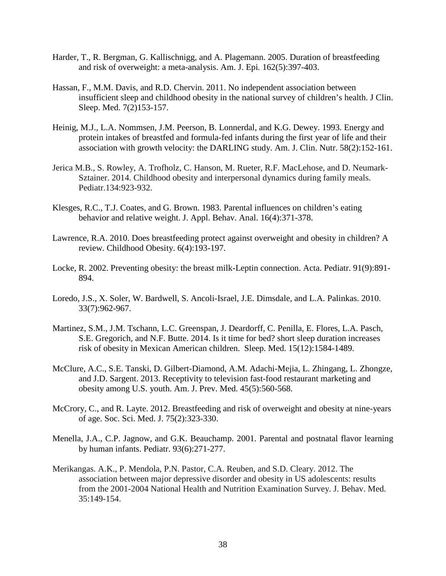- Harder, T., R. Bergman, G. Kallischnigg, and A. Plagemann. 2005. Duration of breastfeeding and risk of overweight: a meta-analysis. Am. J. Epi*.* 162(5):397-403.
- Hassan, F., M.M. Davis, and R.D. Chervin. 2011. No independent association between insufficient sleep and childhood obesity in the national survey of children's health. J Clin. Sleep. Med. 7(2)153-157.
- Heinig, M.J., L.A. Nommsen, J.M. Peerson, B. Lonnerdal, and K.G. Dewey. 1993. Energy and protein intakes of breastfed and formula-fed infants during the first year of life and their association with growth velocity: the DARLING study. Am. J. Clin. Nutr. 58(2):152-161.
- Jerica M.B., S. Rowley, A. Trofholz, C. Hanson, M. Rueter, R.F. MacLehose, and D. Neumark-Sztainer. 2014. Childhood obesity and interpersonal dynamics during family meals. Pediatr.134:923-932.
- Klesges, R.C., T.J. Coates, and G. Brown. 1983. Parental influences on children's eating behavior and relative weight. J. Appl. Behav. Anal. 16(4):371-378.
- Lawrence, R.A. 2010. Does breastfeeding protect against overweight and obesity in children? A review. Childhood Obesity. 6(4):193-197.
- Locke, R. 2002. Preventing obesity: the breast milk-Leptin connection. Acta. Pediatr. 91(9):891- 894.
- Loredo, J.S., X. Soler, W. Bardwell, S. Ancoli-Israel, J.E. Dimsdale, and L.A. Palinkas. 2010. 33(7):962-967.
- Martinez, S.M., J.M. Tschann, L.C. Greenspan, J. Deardorff, C. Penilla, E. Flores, L.A. Pasch, S.E. Gregorich, and N.F. Butte. 2014. Is it time for bed? short sleep duration increases risk of obesity in Mexican American children. Sleep. Med. 15(12):1584-1489.
- McClure, A.C., S.E. Tanski, D. Gilbert-Diamond, A.M. Adachi-Mejia, L. Zhingang, L. Zhongze, and J.D. Sargent. 2013. Receptivity to television fast-food restaurant marketing and obesity among U.S. youth. Am. J. Prev. Med. 45(5):560-568.
- McCrory, C., and R. Layte. 2012. Breastfeeding and risk of overweight and obesity at nine-years of age. Soc. Sci. Med. J. 75(2):323-330.
- Menella, J.A., C.P. Jagnow, and G.K. Beauchamp. 2001. Parental and postnatal flavor learning by human infants. Pediatr. 93(6):271-277.
- Merikangas. A.K., P. Mendola, P.N. Pastor, C.A. Reuben, and S.D. Cleary. 2012. The association between major depressive disorder and obesity in US adolescents: results from the 2001-2004 National Health and Nutrition Examination Survey. J. Behav. Med. 35:149-154.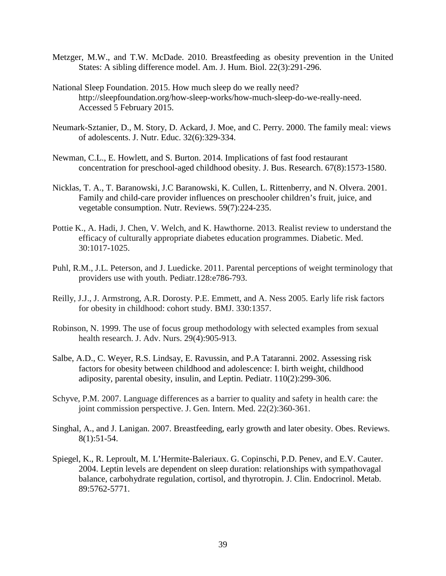- Metzger, M.W., and T.W. McDade. 2010. Breastfeeding as obesity prevention in the United States: A sibling difference model. Am. J. Hum. Biol. 22(3):291-296.
- National Sleep Foundation. 2015. How much sleep do we really need? http://sleepfoundation.org/how-sleep-works/how-much-sleep-do-we-really-need. Accessed 5 February 2015.
- Neumark-Sztanier, D., M. Story, D. Ackard, J. Moe, and C. Perry. 2000. The family meal: views of adolescents. J. Nutr. Educ. 32(6):329-334.
- Newman, C.L., E. Howlett, and S. Burton. 2014. Implications of fast food restaurant concentration for preschool-aged childhood obesity. J. Bus. Research. 67(8):1573-1580.
- Nicklas, T. A., T. Baranowski, J.C Baranowski, K. Cullen, L. Rittenberry, and N. Olvera. 2001. Family and child-care provider influences on preschooler children's fruit, juice, and vegetable consumption. Nutr. Reviews. 59(7):224-235.
- Pottie K., A. Hadi, J. Chen, V. Welch, and K. Hawthorne. 2013. Realist review to understand the efficacy of culturally appropriate diabetes education programmes. Diabetic. Med. 30:1017-1025.
- Puhl, R.M., J.L. Peterson, and J. Luedicke. 2011. Parental perceptions of weight terminology that providers use with youth. Pediatr.128:e786-793.
- Reilly, J.J., J. Armstrong, A.R. Dorosty. P.E. Emmett, and A. Ness 2005. Early life risk factors for obesity in childhood: cohort study. BMJ. 330:1357.
- Robinson, N. 1999. The use of focus group methodology with selected examples from sexual health research. J. Adv. Nurs. 29(4):905-913.
- Salbe, A.D., C. Weyer, R.S. Lindsay, E. Ravussin, and P.A Tataranni. 2002. Assessing risk factors for obesity between childhood and adolescence: I. birth weight, childhood adiposity, parental obesity, insulin, and Leptin. Pediatr. 110(2):299-306.
- Schyve, P.M. 2007. Language differences as a barrier to quality and safety in health care: the joint commission perspective. J. Gen. Intern. Med. 22(2):360-361.
- Singhal, A., and J. Lanigan. 2007. Breastfeeding, early growth and later obesity. Obes. Reviews. 8(1):51-54.
- Spiegel, K., R. Leproult, M. L'Hermite-Baleriaux. G. Copinschi, P.D. Penev, and E.V. Cauter. 2004. Leptin levels are dependent on sleep duration: relationships with sympathovagal balance, carbohydrate regulation, cortisol, and thyrotropin. J. Clin. Endocrinol. Metab. 89:5762-5771.